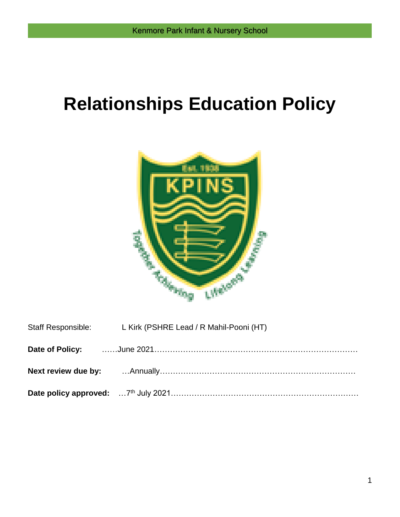# **Relationships Education Policy**



| Staff Responsible: L Kirk (PSHRE Lead / R Mahil-Pooni (HT) |
|------------------------------------------------------------|
|                                                            |
|                                                            |
|                                                            |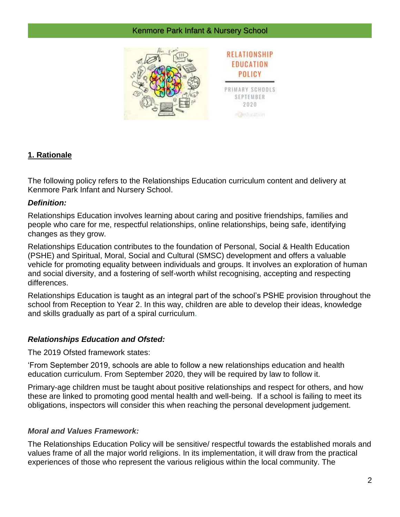

# **1. Rationale**

The following policy refers to the Relationships Education curriculum content and delivery at Kenmore Park Infant and Nursery School.

#### *Definition:*

Relationships Education involves learning about caring and positive friendships, families and people who care for me, respectful relationships, online relationships, being safe, identifying changes as they grow.

Relationships Education contributes to the foundation of Personal, Social & Health Education (PSHE) and Spiritual, Moral, Social and Cultural (SMSC) development and offers a valuable vehicle for promoting equality between individuals and groups. It involves an exploration of human and social diversity, and a fostering of self-worth whilst recognising, accepting and respecting differences.

Relationships Education is taught as an integral part of the school's PSHE provision throughout the school from Reception to Year 2. In this way, children are able to develop their ideas, knowledge and skills gradually as part of a spiral curriculum.

# *Relationships Education and Ofsted:*

The 2019 Ofsted framework states:

'From September 2019, schools are able to follow a new relationships education and health education curriculum. From September 2020, they will be required by law to follow it.

Primary-age children must be taught about positive relationships and respect for others, and how these are linked to promoting good mental health and well-being. If a school is failing to meet its obligations, inspectors will consider this when reaching the personal development judgement.

#### *Moral and Values Framework:*

The Relationships Education Policy will be sensitive/ respectful towards the established morals and values frame of all the major world religions. In its implementation, it will draw from the practical experiences of those who represent the various religious within the local community. The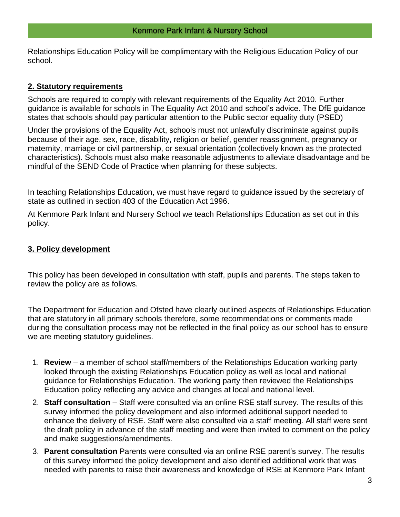Relationships Education Policy will be complimentary with the Religious Education Policy of our school.

#### **2. Statutory requirements**

Schools are required to comply with relevant requirements of the Equality Act 2010. Further guidance is available for schools in The Equality Act 2010 and school's advice. The DfE guidance states that schools should pay particular attention to the Public sector equality duty (PSED)

Under the provisions of the Equality Act, schools must not unlawfully discriminate against pupils because of their age, sex, race, disability, religion or belief, gender reassignment, pregnancy or maternity, marriage or civil partnership, or sexual orientation (collectively known as the protected characteristics). Schools must also make reasonable adjustments to alleviate disadvantage and be mindful of the SEND Code of Practice when planning for these subjects.

In teaching Relationships Education, we must have regard to guidance issued by the secretary of state as outlined in section 403 of the Education Act 1996.

At Kenmore Park Infant and Nursery School we teach Relationships Education as set out in this policy.

#### **3. Policy development**

This policy has been developed in consultation with staff, pupils and parents. The steps taken to review the policy are as follows.

The Department for Education and Ofsted have clearly outlined aspects of Relationships Education that are statutory in all primary schools therefore, some recommendations or comments made during the consultation process may not be reflected in the final policy as our school has to ensure we are meeting statutory guidelines.

- 1. **Review** a member of school staff/members of the Relationships Education working party looked through the existing Relationships Education policy as well as local and national guidance for Relationships Education. The working party then reviewed the Relationships Education policy reflecting any advice and changes at local and national level.
- 2. **Staff consultation** Staff were consulted via an online RSE staff survey. The results of this survey informed the policy development and also informed additional support needed to enhance the delivery of RSE. Staff were also consulted via a staff meeting. All staff were sent the draft policy in advance of the staff meeting and were then invited to comment on the policy and make suggestions/amendments.
- 3. **Parent consultation** Parents were consulted via an online RSE parent's survey. The results of this survey informed the policy development and also identified additional work that was needed with parents to raise their awareness and knowledge of RSE at Kenmore Park Infant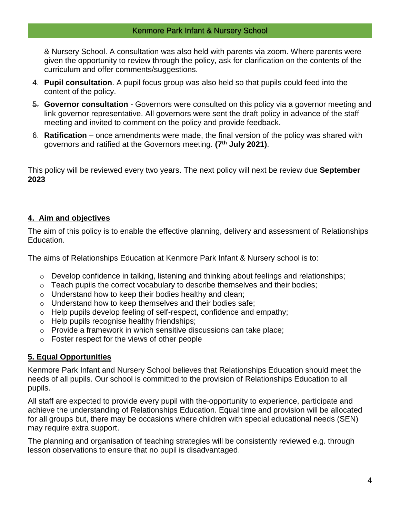& Nursery School. A consultation was also held with parents via zoom. Where parents were given the opportunity to review through the policy, ask for clarification on the contents of the curriculum and offer comments/suggestions.

- 4. **Pupil consultation**. A pupil focus group was also held so that pupils could feed into the content of the policy.
- 5. **Governor consultation** Governors were consulted on this policy via a governor meeting and link governor representative. All governors were sent the draft policy in advance of the staff meeting and invited to comment on the policy and provide feedback.
- 6. **Ratification**  once amendments were made, the final version of the policy was shared with governors and ratified at the Governors meeting. **(7th July 2021)**.

This policy will be reviewed every two years. The next policy will next be review due **September 2023**

# **4. Aim and objectives**

The aim of this policy is to enable the effective planning, delivery and assessment of Relationships Education.

The aims of Relationships Education at Kenmore Park Infant & Nursery school is to:

- o Develop confidence in talking, listening and thinking about feelings and relationships;
- o Teach pupils the correct vocabulary to describe themselves and their bodies;
- $\circ$  Understand how to keep their bodies healthy and clean;
- o Understand how to keep themselves and their bodies safe;
- o Help pupils develop feeling of self-respect, confidence and empathy;
- o Help pupils recognise healthy friendships;
- o Provide a framework in which sensitive discussions can take place;
- o Foster respect for the views of other people

# **5. Equal Opportunities**

Kenmore Park Infant and Nursery School believes that Relationships Education should meet the needs of all pupils. Our school is committed to the provision of Relationships Education to all pupils.

All staff are expected to provide every pupil with the opportunity to experience, participate and achieve the understanding of Relationships Education. Equal time and provision will be allocated for all groups but, there may be occasions where children with special educational needs (SEN) may require extra support.

The planning and organisation of teaching strategies will be consistently reviewed e.g. through lesson observations to ensure that no pupil is disadvantaged.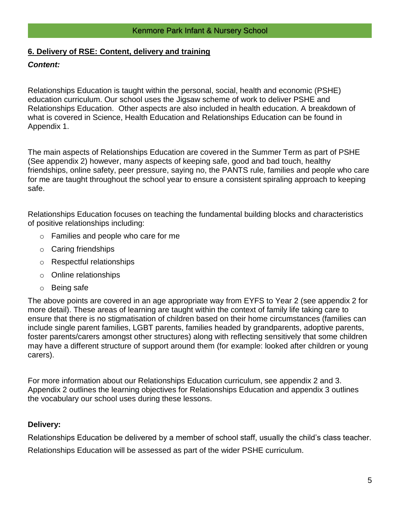### **6. Delivery of RSE: Content, delivery and training**

#### *Content:*

Relationships Education is taught within the personal, social, health and economic (PSHE) education curriculum. Our school uses the Jigsaw scheme of work to deliver PSHE and Relationships Education. Other aspects are also included in health education. A breakdown of what is covered in Science, Health Education and Relationships Education can be found in Appendix 1.

The main aspects of Relationships Education are covered in the Summer Term as part of PSHE (See appendix 2) however, many aspects of keeping safe, good and bad touch, healthy friendships, online safety, peer pressure, saying no, the PANTS rule, families and people who care for me are taught throughout the school year to ensure a consistent spiraling approach to keeping safe.

Relationships Education focuses on teaching the fundamental building blocks and characteristics of positive relationships including:

- o Families and people who care for me
- o Caring friendships
- o Respectful relationships
- o Online relationships
- o Being safe

The above points are covered in an age appropriate way from EYFS to Year 2 (see appendix 2 for more detail). These areas of learning are taught within the context of family life taking care to ensure that there is no stigmatisation of children based on their home circumstances (families can include single parent families, LGBT parents, families headed by grandparents, adoptive parents, foster parents/carers amongst other structures) along with reflecting sensitively that some children may have a different structure of support around them (for example: looked after children or young carers).

For more information about our Relationships Education curriculum, see appendix 2 and 3. Appendix 2 outlines the learning objectives for Relationships Education and appendix 3 outlines the vocabulary our school uses during these lessons.

# **Delivery:**

Relationships Education be delivered by a member of school staff, usually the child's class teacher. Relationships Education will be assessed as part of the wider PSHE curriculum.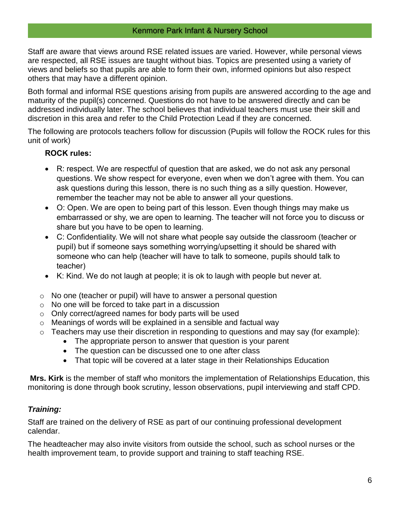Staff are aware that views around RSE related issues are varied. However, while personal views are respected, all RSE issues are taught without bias. Topics are presented using a variety of views and beliefs so that pupils are able to form their own, informed opinions but also respect others that may have a different opinion.

Both formal and informal RSE questions arising from pupils are answered according to the age and maturity of the pupil(s) concerned. Questions do not have to be answered directly and can be addressed individually later. The school believes that individual teachers must use their skill and discretion in this area and refer to the Child Protection Lead if they are concerned.

The following are protocols teachers follow for discussion (Pupils will follow the ROCK rules for this unit of work)

# **ROCK rules:**

- R: respect. We are respectful of question that are asked, we do not ask any personal questions. We show respect for everyone, even when we don't agree with them. You can ask questions during this lesson, there is no such thing as a silly question. However, remember the teacher may not be able to answer all your questions.
- O: Open. We are open to being part of this lesson. Even though things may make us embarrassed or shy, we are open to learning. The teacher will not force you to discuss or share but you have to be open to learning.
- C: Confidentiality. We will not share what people say outside the classroom (teacher or pupil) but if someone says something worrying/upsetting it should be shared with someone who can help (teacher will have to talk to someone, pupils should talk to teacher)
- K: Kind. We do not laugh at people; it is ok to laugh with people but never at.
- $\circ$  No one (teacher or pupil) will have to answer a personal question
- o No one will be forced to take part in a discussion
- o Only correct/agreed names for body parts will be used
- o Meanings of words will be explained in a sensible and factual way
- $\circ$  Teachers may use their discretion in responding to questions and may say (for example):
	- The appropriate person to answer that question is your parent
	- The question can be discussed one to one after class
	- That topic will be covered at a later stage in their Relationships Education

**Mrs. Kirk** is the member of staff who monitors the implementation of Relationships Education, this monitoring is done through book scrutiny, lesson observations, pupil interviewing and staff CPD.

# *Training:*

Staff are trained on the delivery of RSE as part of our continuing professional development calendar.

The headteacher may also invite visitors from outside the school, such as school nurses or the health improvement team, to provide support and training to staff teaching RSE.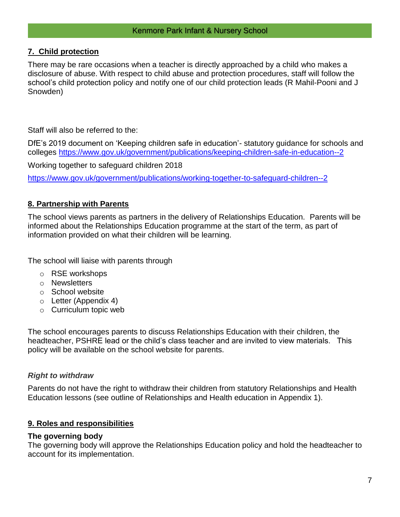#### **7. Child protection**

There may be rare occasions when a teacher is directly approached by a child who makes a disclosure of abuse. With respect to child abuse and protection procedures, staff will follow the school's child protection policy and notify one of our child protection leads (R Mahil-Pooni and J Snowden)

Staff will also be referred to the:

DfE's 2019 document on 'Keeping children safe in education'- statutory guidance for schools and colleges<https://www.gov.uk/government/publications/keeping-children-safe-in-education--2>

Working together to safeguard children 2018

<https://www.gov.uk/government/publications/working-together-to-safeguard-children--2>

#### **8. Partnership with Parents**

The school views parents as partners in the delivery of Relationships Education. Parents will be informed about the Relationships Education programme at the start of the term, as part of information provided on what their children will be learning.

The school will liaise with parents through

- o RSE workshops
- o Newsletters
- o School website
- o Letter (Appendix 4)
- o Curriculum topic web

The school encourages parents to discuss Relationships Education with their children, the headteacher, PSHRE lead or the child's class teacher and are invited to view materials. This policy will be available on the school website for parents.

#### *Right to withdraw*

Parents do not have the right to withdraw their children from statutory Relationships and Health Education lessons (see outline of Relationships and Health education in Appendix 1).

#### **9. Roles and responsibilities**

#### **The governing body**

The governing body will approve the Relationships Education policy and hold the headteacher to account for its implementation.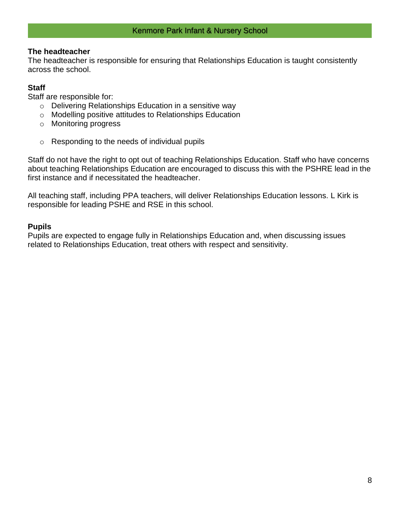#### **The headteacher**

The headteacher is responsible for ensuring that Relationships Education is taught consistently across the school.

### **Staff**

Staff are responsible for:

- o Delivering Relationships Education in a sensitive way
- o Modelling positive attitudes to Relationships Education
- o Monitoring progress
- o Responding to the needs of individual pupils

Staff do not have the right to opt out of teaching Relationships Education. Staff who have concerns about teaching Relationships Education are encouraged to discuss this with the PSHRE lead in the first instance and if necessitated the headteacher.

All teaching staff, including PPA teachers, will deliver Relationships Education lessons. L Kirk is responsible for leading PSHE and RSE in this school.

#### **Pupils**

Pupils are expected to engage fully in Relationships Education and, when discussing issues related to Relationships Education, treat others with respect and sensitivity.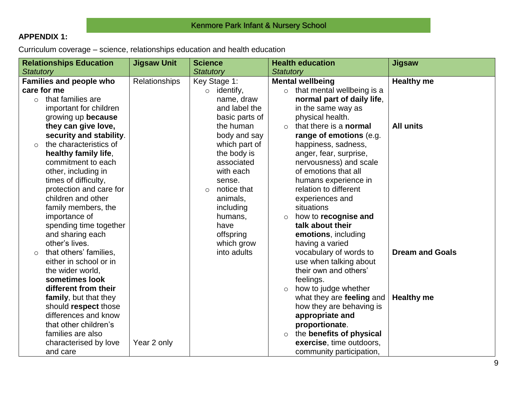# **APPENDIX 1:**

Curriculum coverage – science, relationships education and health education

|                  | <b>Relationships Education</b> | <b>Jigsaw Unit</b> | <b>Science</b>         | <b>Health education</b>                   | Jigsaw                 |
|------------------|--------------------------------|--------------------|------------------------|-------------------------------------------|------------------------|
| <b>Statutory</b> |                                |                    | <b>Statutory</b>       | <b>Statutory</b>                          |                        |
|                  | <b>Families and people who</b> | Relationships      | Key Stage 1:           | <b>Mental wellbeing</b>                   | <b>Healthy me</b>      |
|                  | care for me                    |                    | identify,<br>$\circ$   | that mental wellbeing is a<br>$\circ$     |                        |
| $\circ$          | that families are              |                    | name, draw             | normal part of daily life,                |                        |
|                  | important for children         |                    | and label the          | in the same way as                        |                        |
|                  | growing up because             |                    | basic parts of         | physical health.                          |                        |
|                  | they can give love,            |                    | the human              | that there is a <b>normal</b><br>$\Omega$ | <b>All units</b>       |
|                  | security and stability.        |                    | body and say           | range of emotions (e.g.                   |                        |
| $\bigcirc$       | the characteristics of         |                    | which part of          | happiness, sadness,                       |                        |
|                  | healthy family life,           |                    | the body is            | anger, fear, surprise,                    |                        |
|                  | commitment to each             |                    | associated             | nervousness) and scale                    |                        |
|                  | other, including in            |                    | with each              | of emotions that all                      |                        |
|                  | times of difficulty,           |                    | sense.                 | humans experience in                      |                        |
|                  | protection and care for        |                    | notice that<br>$\circ$ | relation to different                     |                        |
|                  | children and other             |                    | animals,               | experiences and                           |                        |
|                  | family members, the            |                    | including              | situations                                |                        |
|                  | importance of                  |                    | humans,                | how to recognise and<br>$\circ$           |                        |
|                  | spending time together         |                    | have                   | talk about their                          |                        |
|                  | and sharing each               |                    | offspring              | emotions, including                       |                        |
|                  | other's lives.                 |                    | which grow             | having a varied                           |                        |
| $\circ$          | that others' families,         |                    | into adults            | vocabulary of words to                    | <b>Dream and Goals</b> |
|                  | either in school or in         |                    |                        | use when talking about                    |                        |
|                  | the wider world,               |                    |                        | their own and others'                     |                        |
|                  | sometimes look                 |                    |                        | feelings.                                 |                        |
|                  | different from their           |                    |                        | how to judge whether<br>$\circ$           |                        |
|                  | family, but that they          |                    |                        | what they are feeling and                 | <b>Healthy me</b>      |
|                  | should respect those           |                    |                        | how they are behaving is                  |                        |
|                  | differences and know           |                    |                        | appropriate and                           |                        |
|                  | that other children's          |                    |                        | proportionate.                            |                        |
|                  | families are also              |                    |                        | the benefits of physical<br>$\circ$       |                        |
|                  | characterised by love          | Year 2 only        |                        | exercise, time outdoors,                  |                        |
|                  | and care                       |                    |                        | community participation,                  |                        |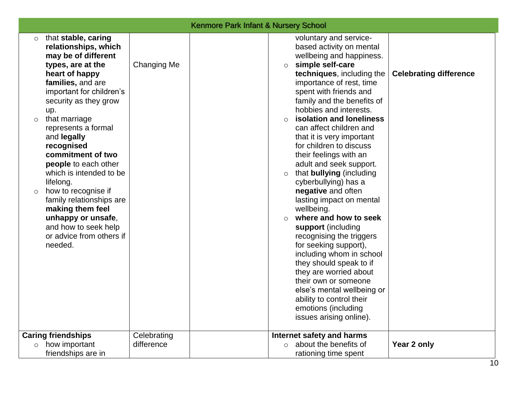|                                                                                                                                                                                                                                                                                                                                                                                                                                                                                                                                                                                |                            | <b>Kenmore Park Infant &amp; Nursery School</b>                                                                                                                                                                                                                                                                                                                                                                                                                                                                                                                                                                                                                                                                                                                                                                                                                                                                                                                          |    |
|--------------------------------------------------------------------------------------------------------------------------------------------------------------------------------------------------------------------------------------------------------------------------------------------------------------------------------------------------------------------------------------------------------------------------------------------------------------------------------------------------------------------------------------------------------------------------------|----------------------------|--------------------------------------------------------------------------------------------------------------------------------------------------------------------------------------------------------------------------------------------------------------------------------------------------------------------------------------------------------------------------------------------------------------------------------------------------------------------------------------------------------------------------------------------------------------------------------------------------------------------------------------------------------------------------------------------------------------------------------------------------------------------------------------------------------------------------------------------------------------------------------------------------------------------------------------------------------------------------|----|
| that stable, caring<br>$\circ$<br>relationships, which<br>may be of different<br>types, are at the<br>heart of happy<br>families, and are<br>important for children's<br>security as they grow<br>up.<br>that marriage<br>$\circ$<br>represents a formal<br>and legally<br>recognised<br>commitment of two<br>people to each other<br>which is intended to be<br>lifelong.<br>how to recognise if<br>$\circ$<br>family relationships are<br>making them feel<br>unhappy or unsafe,<br>and how to seek help<br>or advice from others if<br>needed.<br><b>Caring friendships</b> | Changing Me<br>Celebrating | voluntary and service-<br>based activity on mental<br>wellbeing and happiness.<br>simple self-care<br>$\circ$<br>techniques, including the<br><b>Celebrating difference</b><br>importance of rest, time<br>spent with friends and<br>family and the benefits of<br>hobbies and interests.<br>isolation and loneliness<br>$\circ$<br>can affect children and<br>that it is very important<br>for children to discuss<br>their feelings with an<br>adult and seek support.<br>that bullying (including<br>$\circ$<br>cyberbullying) has a<br>negative and often<br>lasting impact on mental<br>wellbeing.<br>where and how to seek<br>$\circ$<br>support (including<br>recognising the triggers<br>for seeking support),<br>including whom in school<br>they should speak to if<br>they are worried about<br>their own or someone<br>else's mental wellbeing or<br>ability to control their<br>emotions (including<br>issues arising online).<br>Internet safety and harms |    |
| how important<br>$\circ$<br>friendships are in                                                                                                                                                                                                                                                                                                                                                                                                                                                                                                                                 | difference                 | Year 2 only<br>$\circ$ about the benefits of<br>rationing time spent                                                                                                                                                                                                                                                                                                                                                                                                                                                                                                                                                                                                                                                                                                                                                                                                                                                                                                     |    |
|                                                                                                                                                                                                                                                                                                                                                                                                                                                                                                                                                                                |                            |                                                                                                                                                                                                                                                                                                                                                                                                                                                                                                                                                                                                                                                                                                                                                                                                                                                                                                                                                                          | 10 |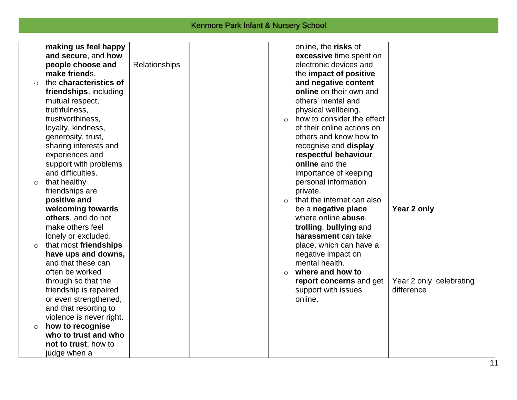|         | making us feel happy     |               |          | online, the risks of       |                         |
|---------|--------------------------|---------------|----------|----------------------------|-------------------------|
|         | and secure, and how      |               |          | excessive time spent on    |                         |
|         | people choose and        | Relationships |          | electronic devices and     |                         |
|         | make friends.            |               |          | the impact of positive     |                         |
| $\circ$ | the characteristics of   |               |          | and negative content       |                         |
|         | friendships, including   |               |          | online on their own and    |                         |
|         | mutual respect,          |               |          | others' mental and         |                         |
|         | truthfulness,            |               |          | physical wellbeing.        |                         |
|         | trustworthiness,         |               |          | how to consider the effect |                         |
|         | loyalty, kindness,       |               |          | of their online actions on |                         |
|         | generosity, trust,       |               |          | others and know how to     |                         |
|         | sharing interests and    |               |          | recognise and display      |                         |
|         | experiences and          |               |          | respectful behaviour       |                         |
|         | support with problems    |               |          | online and the             |                         |
|         | and difficulties.        |               |          | importance of keeping      |                         |
| $\circ$ | that healthy             |               |          | personal information       |                         |
|         | friendships are          |               |          | private.                   |                         |
|         | positive and             |               | $\Omega$ | that the internet can also |                         |
|         | welcoming towards        |               |          | be a negative place        | Year 2 only             |
|         | others, and do not       |               |          | where online abuse,        |                         |
|         | make others feel         |               |          | trolling, bullying and     |                         |
|         | lonely or excluded.      |               |          | harassment can take        |                         |
| $\circ$ | that most friendships    |               |          | place, which can have a    |                         |
|         | have ups and downs,      |               |          | negative impact on         |                         |
|         | and that these can       |               |          | mental health.             |                         |
|         | often be worked          |               | $\Omega$ | where and how to           |                         |
|         | through so that the      |               |          | report concerns and get    | Year 2 only celebrating |
|         | friendship is repaired   |               |          | support with issues        | difference              |
|         | or even strengthened,    |               |          | online.                    |                         |
|         | and that resorting to    |               |          |                            |                         |
|         | violence is never right. |               |          |                            |                         |
| $\circ$ | how to recognise         |               |          |                            |                         |
|         | who to trust and who     |               |          |                            |                         |
|         | not to trust, how to     |               |          |                            |                         |
|         | judge when a             |               |          |                            |                         |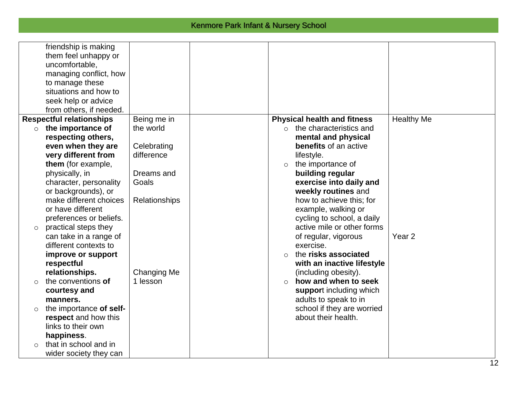|          | friendship is making<br>them feel unhappy or<br>uncomfortable,<br>managing conflict, how<br>to manage these<br>situations and how to<br>seek help or advice<br>from others, if needed. |                          |                                                                       |                   |
|----------|----------------------------------------------------------------------------------------------------------------------------------------------------------------------------------------|--------------------------|-----------------------------------------------------------------------|-------------------|
| $\circ$  | <b>Respectful relationships</b><br>the importance of                                                                                                                                   | Being me in<br>the world | <b>Physical health and fitness</b><br>$\circ$ the characteristics and | <b>Healthy Me</b> |
|          | respecting others,                                                                                                                                                                     |                          | mental and physical                                                   |                   |
|          | even when they are                                                                                                                                                                     | Celebrating              | benefits of an active                                                 |                   |
|          | very different from                                                                                                                                                                    | difference               | lifestyle.                                                            |                   |
|          | them (for example,                                                                                                                                                                     |                          | the importance of<br>$\circ$                                          |                   |
|          | physically, in                                                                                                                                                                         | Dreams and               | building regular                                                      |                   |
|          | character, personality                                                                                                                                                                 | Goals                    | exercise into daily and                                               |                   |
|          | or backgrounds), or                                                                                                                                                                    |                          | weekly routines and                                                   |                   |
|          | make different choices<br>or have different                                                                                                                                            | Relationships            | how to achieve this; for<br>example, walking or                       |                   |
|          | preferences or beliefs.                                                                                                                                                                |                          | cycling to school, a daily                                            |                   |
| $\circ$  | practical steps they                                                                                                                                                                   |                          | active mile or other forms                                            |                   |
|          | can take in a range of                                                                                                                                                                 |                          | of regular, vigorous                                                  | Year <sub>2</sub> |
|          | different contexts to                                                                                                                                                                  |                          | exercise.                                                             |                   |
|          | improve or support                                                                                                                                                                     |                          | the risks associated<br>$\bigcirc$                                    |                   |
|          | respectful                                                                                                                                                                             |                          | with an inactive lifestyle                                            |                   |
|          | relationships.                                                                                                                                                                         | Changing Me              | (including obesity).                                                  |                   |
| $\circ$  | the conventions of                                                                                                                                                                     | 1 lesson                 | how and when to seek<br>$\bigcirc$                                    |                   |
|          | courtesy and<br>manners.                                                                                                                                                               |                          | support including which<br>adults to speak to in                      |                   |
| $\circ$  | the importance of self-                                                                                                                                                                |                          | school if they are worried                                            |                   |
|          | respect and how this                                                                                                                                                                   |                          | about their health.                                                   |                   |
|          | links to their own                                                                                                                                                                     |                          |                                                                       |                   |
|          | happiness.                                                                                                                                                                             |                          |                                                                       |                   |
| $\Omega$ | that in school and in                                                                                                                                                                  |                          |                                                                       |                   |
|          | wider society they can                                                                                                                                                                 |                          |                                                                       |                   |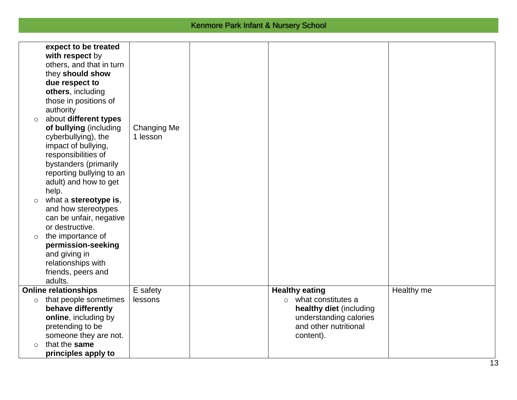| $\circ$ | expect to be treated<br>with respect by<br>others, and that in turn<br>they should show<br>due respect to<br>others, including<br>those in positions of<br>authority<br>about different types |                                |                                                                                                                       |            |
|---------|-----------------------------------------------------------------------------------------------------------------------------------------------------------------------------------------------|--------------------------------|-----------------------------------------------------------------------------------------------------------------------|------------|
|         | of bullying (including<br>cyberbullying), the<br>impact of bullying,<br>responsibilities of<br>bystanders (primarily<br>reporting bullying to an<br>adult) and how to get<br>help.            | <b>Changing Me</b><br>1 lesson |                                                                                                                       |            |
| $\circ$ | what a stereotype is,<br>and how stereotypes<br>can be unfair, negative<br>or destructive.                                                                                                    |                                |                                                                                                                       |            |
| $\circ$ | the importance of<br>permission-seeking<br>and giving in<br>relationships with<br>friends, peers and<br>adults.                                                                               |                                |                                                                                                                       |            |
|         | <b>Online relationships</b>                                                                                                                                                                   | E safety                       | <b>Healthy eating</b>                                                                                                 | Healthy me |
| $\circ$ | that people sometimes<br>behave differently<br>online, including by<br>pretending to be<br>someone they are not.                                                                              | lessons                        | $\circ$ what constitutes a<br>healthy diet (including<br>understanding calories<br>and other nutritional<br>content). |            |
| $\circ$ | that the same<br>principles apply to                                                                                                                                                          |                                |                                                                                                                       |            |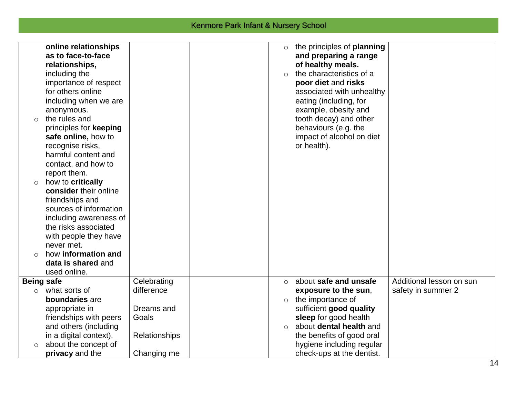|                   | online relationships   |               | $\circ$  | the principles of <b>planning</b> |                          |
|-------------------|------------------------|---------------|----------|-----------------------------------|--------------------------|
|                   | as to face-to-face     |               |          | and preparing a range             |                          |
|                   | relationships,         |               |          | of healthy meals.                 |                          |
|                   | including the          |               | $\Omega$ | the characteristics of a          |                          |
|                   | importance of respect  |               |          | poor diet and risks               |                          |
|                   | for others online      |               |          | associated with unhealthy         |                          |
|                   | including when we are  |               |          | eating (including, for            |                          |
|                   | anonymous.             |               |          | example, obesity and              |                          |
| $\circ$           | the rules and          |               |          | tooth decay) and other            |                          |
|                   | principles for keeping |               |          | behaviours (e.g. the              |                          |
|                   | safe online, how to    |               |          | impact of alcohol on diet         |                          |
|                   | recognise risks,       |               |          | or health).                       |                          |
|                   | harmful content and    |               |          |                                   |                          |
|                   | contact, and how to    |               |          |                                   |                          |
|                   | report them.           |               |          |                                   |                          |
| $\circ$           | how to critically      |               |          |                                   |                          |
|                   | consider their online  |               |          |                                   |                          |
|                   | friendships and        |               |          |                                   |                          |
|                   | sources of information |               |          |                                   |                          |
|                   | including awareness of |               |          |                                   |                          |
|                   | the risks associated   |               |          |                                   |                          |
|                   | with people they have  |               |          |                                   |                          |
|                   | never met.             |               |          |                                   |                          |
| $\Omega$          | how information and    |               |          |                                   |                          |
|                   | data is shared and     |               |          |                                   |                          |
|                   | used online.           |               |          |                                   |                          |
| <b>Being safe</b> |                        | Celebrating   | $\circ$  | about safe and unsafe             | Additional lesson on sun |
| $\circ$           | what sorts of          | difference    |          | exposure to the sun,              | safety in summer 2       |
|                   | boundaries are         |               | $\circ$  | the importance of                 |                          |
|                   | appropriate in         | Dreams and    |          | sufficient good quality           |                          |
|                   | friendships with peers | Goals         |          | sleep for good health             |                          |
|                   | and others (including  |               | $\circ$  | about dental health and           |                          |
|                   | in a digital context). | Relationships |          | the benefits of good oral         |                          |
| $\circ$           | about the concept of   |               |          | hygiene including regular         |                          |
|                   | privacy and the        | Changing me   |          | check-ups at the dentist.         |                          |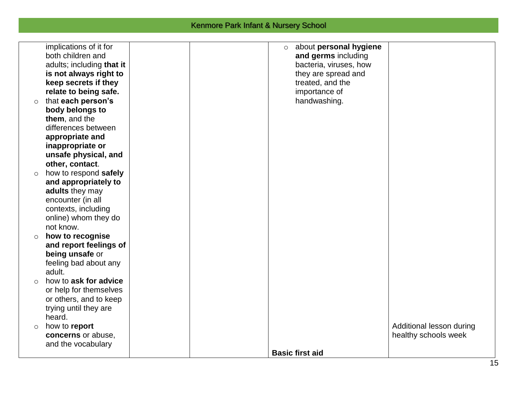| $\circ$    | implications of it for<br>both children and<br>adults; including that it<br>is not always right to<br>keep secrets if they<br>relate to being safe.<br>that each person's<br>body belongs to<br>them, and the<br>differences between |  | $\circ$ | about personal hygiene<br>and germs including<br>bacteria, viruses, how<br>they are spread and<br>treated, and the<br>importance of<br>handwashing. |                                                  |
|------------|--------------------------------------------------------------------------------------------------------------------------------------------------------------------------------------------------------------------------------------|--|---------|-----------------------------------------------------------------------------------------------------------------------------------------------------|--------------------------------------------------|
|            | appropriate and<br>inappropriate or<br>unsafe physical, and<br>other, contact.                                                                                                                                                       |  |         |                                                                                                                                                     |                                                  |
| $\circ$    | how to respond safely<br>and appropriately to                                                                                                                                                                                        |  |         |                                                                                                                                                     |                                                  |
|            | adults they may<br>encounter (in all<br>contexts, including<br>online) whom they do<br>not know.                                                                                                                                     |  |         |                                                                                                                                                     |                                                  |
| $\circ$    | how to recognise<br>and report feelings of<br>being unsafe or<br>feeling bad about any<br>adult.                                                                                                                                     |  |         |                                                                                                                                                     |                                                  |
| $\bigcirc$ | how to ask for advice<br>or help for themselves<br>or others, and to keep<br>trying until they are                                                                                                                                   |  |         |                                                                                                                                                     |                                                  |
| $\circ$    | heard.<br>how to report<br>concerns or abuse,<br>and the vocabulary                                                                                                                                                                  |  |         |                                                                                                                                                     | Additional lesson during<br>healthy schools week |
|            |                                                                                                                                                                                                                                      |  |         | <b>Basic first aid</b>                                                                                                                              |                                                  |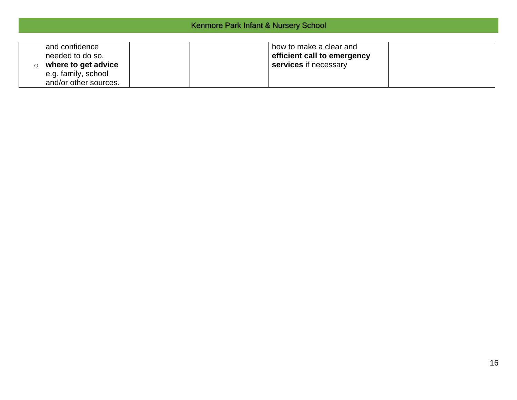| Kenmore Park Infant & Nursery School |  |  |  |  |  |
|--------------------------------------|--|--|--|--|--|
|--------------------------------------|--|--|--|--|--|

| and confidence<br>needed to do so.<br>where to get advice<br>e.g. family, school<br>and/or other sources. | how to make a clear and<br>efficient call to emergency<br>services if necessary |  |
|-----------------------------------------------------------------------------------------------------------|---------------------------------------------------------------------------------|--|
|-----------------------------------------------------------------------------------------------------------|---------------------------------------------------------------------------------|--|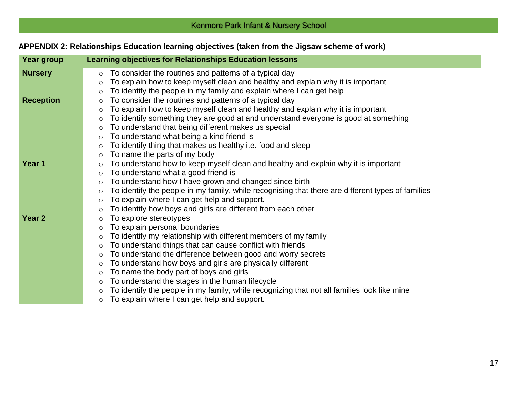# **APPENDIX 2: Relationships Education learning objectives (taken from the Jigsaw scheme of work)**

| Year group        | <b>Learning objectives for Relationships Education lessons</b>                                               |
|-------------------|--------------------------------------------------------------------------------------------------------------|
| <b>Nursery</b>    | To consider the routines and patterns of a typical day<br>$\circ$                                            |
|                   | To explain how to keep myself clean and healthy and explain why it is important<br>$\circ$                   |
|                   | To identify the people in my family and explain where I can get help<br>$\circ$                              |
| <b>Reception</b>  | To consider the routines and patterns of a typical day<br>$\circ$                                            |
|                   | To explain how to keep myself clean and healthy and explain why it is important<br>$\circ$                   |
|                   | To identify something they are good at and understand everyone is good at something<br>$\circ$               |
|                   | To understand that being different makes us special<br>$\circ$                                               |
|                   | To understand what being a kind friend is<br>$\circ$                                                         |
|                   | To identify thing that makes us healthy i.e. food and sleep<br>$\circ$                                       |
|                   | To name the parts of my body<br>$\circ$                                                                      |
| Year 1            | To understand how to keep myself clean and healthy and explain why it is important<br>$\circ$                |
|                   | To understand what a good friend is<br>$\circ$                                                               |
|                   | To understand how I have grown and changed since birth<br>$\circ$                                            |
|                   | To identify the people in my family, while recognising that there are different types of families<br>$\circ$ |
|                   | To explain where I can get help and support.<br>$\circ$                                                      |
|                   | To identify how boys and girls are different from each other<br>$\circ$                                      |
| Year <sub>2</sub> | To explore stereotypes<br>$\circ$                                                                            |
|                   | To explain personal boundaries<br>O                                                                          |
|                   | To identify my relationship with different members of my family<br>$\circ$                                   |
|                   | To understand things that can cause conflict with friends<br>$\circ$                                         |
|                   | To understand the difference between good and worry secrets<br>$\circ$                                       |
|                   | To understand how boys and girls are physically different<br>$\circ$                                         |
|                   | To name the body part of boys and girls<br>$\circ$                                                           |
|                   | To understand the stages in the human lifecycle<br>$\circ$                                                   |
|                   | To identify the people in my family, while recognizing that not all families look like mine<br>$\circ$       |
|                   | To explain where I can get help and support.<br>$\circ$                                                      |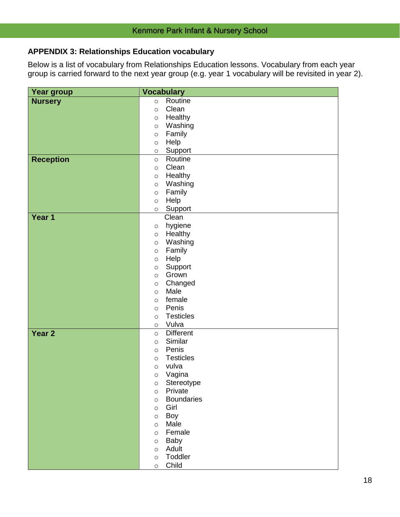# **APPENDIX 3: Relationships Education vocabulary**

Below is a list of vocabulary from Relationships Education lessons. Vocabulary from each year group is carried forward to the next year group (e.g. year 1 vocabulary will be revisited in year 2).

| Year group        | <b>Vocabulary</b>                    |
|-------------------|--------------------------------------|
| <b>Nursery</b>    | Routine<br>$\circ$                   |
|                   | Clean<br>$\circ$                     |
|                   | Healthy<br>$\circ$                   |
|                   | Washing<br>$\circ$                   |
|                   | Family<br>$\circ$                    |
|                   | Help<br>$\circ$                      |
|                   | Support<br>$\circ$                   |
| <b>Reception</b>  | Routine<br>$\circ$                   |
|                   | Clean<br>$\circ$                     |
|                   | Healthy<br>$\circ$                   |
|                   | Washing<br>$\circ$                   |
|                   | Family<br>$\circ$                    |
|                   | Help<br>$\circ$                      |
|                   | Support<br>$\circ$                   |
| Year 1            | Clean                                |
|                   | hygiene<br>$\circ$                   |
|                   | Healthy<br>$\circ$                   |
|                   | Washing<br>$\circ$                   |
|                   | Family<br>$\circ$                    |
|                   | Help<br>$\circ$                      |
|                   | Support<br>$\circ$                   |
|                   | Grown<br>$\circ$                     |
|                   | Changed<br>$\circ$                   |
|                   | Male<br>$\circ$                      |
|                   | female<br>$\circ$                    |
|                   | Penis<br>$\circ$                     |
|                   | <b>Testicles</b><br>$\circ$<br>Vulva |
| Year <sub>2</sub> | $\circ$<br><b>Different</b>          |
|                   | $\circ$<br>Similar                   |
|                   | $\circ$<br>Penis<br>$\circ$          |
|                   | <b>Testicles</b><br>$\circ$          |
|                   | vulva<br>$\circ$                     |
|                   | Vagina<br>$\circ$                    |
|                   | Stereotype<br>$\circ$                |
|                   | Private<br>$\circ$                   |
|                   | <b>Boundaries</b><br>$\circ$         |
|                   | Girl<br>$\circ$                      |
|                   | <b>Boy</b><br>$\circ$                |
|                   | Male<br>$\circ$                      |
|                   | Female<br>$\circ$                    |
|                   | Baby<br>$\circ$                      |
|                   | Adult<br>$\circ$                     |
|                   | Toddler<br>$\circ$                   |
|                   | Child<br>$\circ$                     |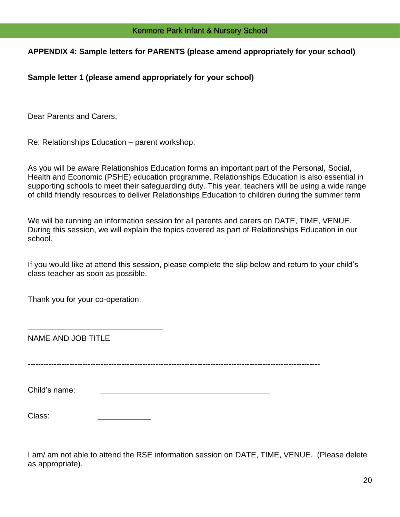#### **APPENDIX 4: Sample letters for PARENTS (please amend appropriately for your school)**

**Sample letter 1 (please amend appropriately for your school)**

Dear Parents and Carers,

Re: Relationships Education – parent workshop.

As you will be aware Relationships Education forms an important part of the Personal, Social, Health and Economic (PSHE) education programme. Relationships Education is also essential in supporting schools to meet their safeguarding duty. This year, teachers will be using a wide range of child friendly resources to deliver Relationships Education to children during the summer term

We will be running an information session for all parents and carers on DATE, TIME, VENUE. During this session, we will explain the topics covered as part of Relationships Education in our school.

If you would like at attend this session, please complete the slip below and return to your child's class teacher as soon as possible.

Thank you for your co-operation.

\_\_\_\_\_\_\_\_\_\_\_\_\_\_\_\_\_\_\_\_\_\_\_\_\_\_\_\_\_\_\_

NAME AND JOB TITLE

----------------------------------------------------------------------------------------------------------------

Child's name:

| Class: |  |
|--------|--|
|        |  |

I am/ am not able to attend the RSE information session on DATE, TIME, VENUE. (Please delete as appropriate).